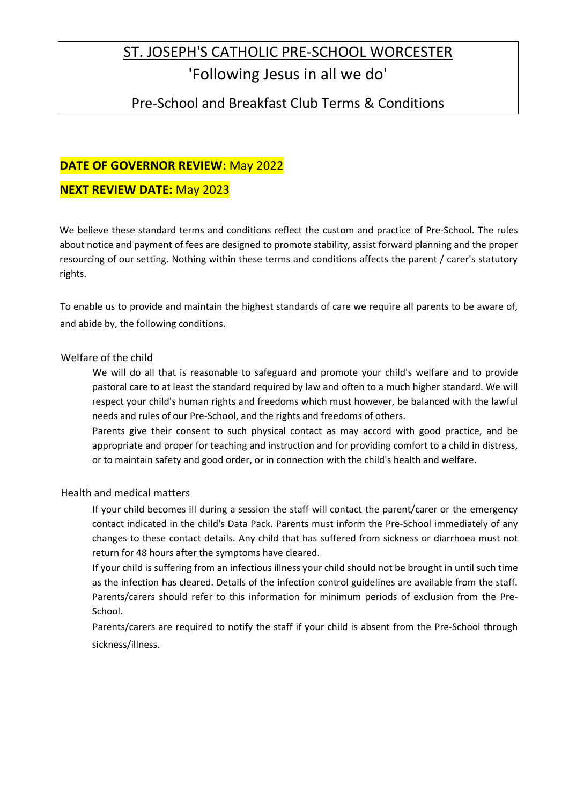# ST. JOSEPH'S CATHOLIC PRE-SCHOOL WORCESTER 'Following Jesus in all we do'

# Pre-School and Breakfast Club Terms & Conditions

## **DATE OF GOVERNOR REVIEW:** May 2022

### **NEXT REVIEW DATE:** May 2023

We believe these standard terms and conditions reflect the custom and practice of Pre-School. The rules about notice and payment of fees are designed to promote stability, assist forward planning and the proper resourcing of our setting. Nothing within these terms and conditions affects the parent / carer's statutory rights.

To enable us to provide and maintain the highest standards of care we require all parents to be aware of, and abide by, the following conditions.

#### Welfare of the child

We will do all that is reasonable to safeguard and promote your child's welfare and to provide pastoral care to at least the standard required by law and often to a much higher standard. We will respect your child's human rights and freedoms which must however, be balanced with the lawful needs and rules of our Pre-School, and the rights and freedoms of others.

Parents give their consent to such physical contact as may accord with good practice, and be appropriate and proper for teaching and instruction and for providing comfort to a child in distress, or to maintain safety and good order, or in connection with the child's health and welfare.

#### Health and medical matters

If your child becomes ill during a session the staff will contact the parent/carer or the emergency contact indicated in the child's Data Pack. Parents must inform the Pre-School immediately of any changes to these contact details. Any child that has suffered from sickness or diarrhoea must not return for 48 hours after the symptoms have cleared.

If your child is suffering from an infectious illness your child should not be brought in until such time as the infection has cleared. Details of the infection control guidelines are available from the staff. Parents/carers should refer to this information for minimum periods of exclusion from the Pre-School.

Parents/carers are required to notify the staff if your child is absent from the Pre-School through sickness/illness.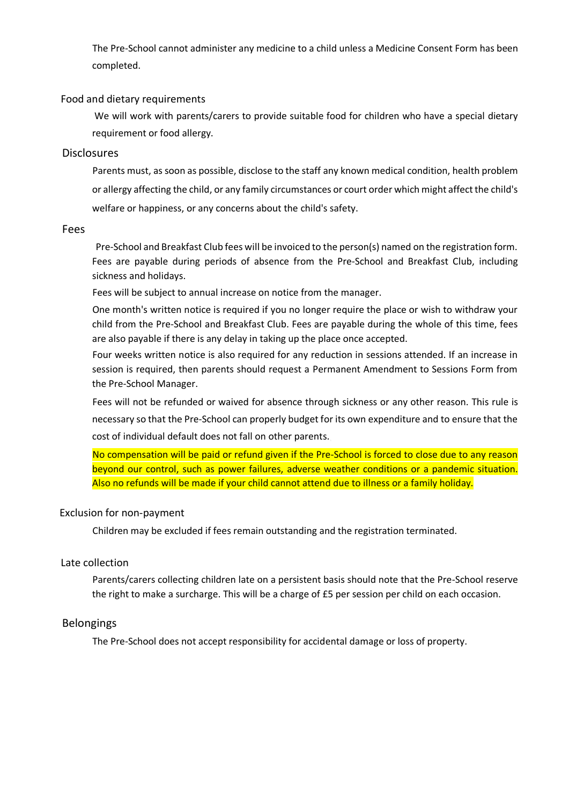The Pre-School cannot administer any medicine to a child unless a Medicine Consent Form has been completed.

#### Food and dietary requirements

We will work with parents/carers to provide suitable food for children who have a special dietary requirement or food allergy.

#### **Disclosures**

Parents must, as soon as possible, disclose to the staff any known medical condition, health problem or allergy affecting the child, or any family circumstances or court order which might affect the child's welfare or happiness, or any concerns about the child's safety.

#### Fees

Pre-School and Breakfast Club fees will be invoiced to the person(s) named on the registration form. Fees are payable during periods of absence from the Pre-School and Breakfast Club, including sickness and holidays.

Fees will be subject to annual increase on notice from the manager.

One month's written notice is required if you no longer require the place or wish to withdraw your child from the Pre-School and Breakfast Club. Fees are payable during the whole of this time, fees are also payable if there is any delay in taking up the place once accepted.

Four weeks written notice is also required for any reduction in sessions attended. If an increase in session is required, then parents should request a Permanent Amendment to Sessions Form from the Pre-School Manager.

Fees will not be refunded or waived for absence through sickness or any other reason. This rule is necessary so that the Pre-School can properly budget for its own expenditure and to ensure that the cost of individual default does not fall on other parents.

No compensation will be paid or refund given if the Pre-School is forced to close due to any reason beyond our control, such as power failures, adverse weather conditions or a pandemic situation. Also no refunds will be made if your child cannot attend due to illness or a family holiday.

#### Exclusion for non-payment

Children may be excluded if fees remain outstanding and the registration terminated.

#### Late collection

Parents/carers collecting children late on a persistent basis should note that the Pre-School reserve the right to make a surcharge. This will be a charge of £5 per session per child on each occasion.

#### Belongings

The Pre-School does not accept responsibility for accidental damage or loss of property.